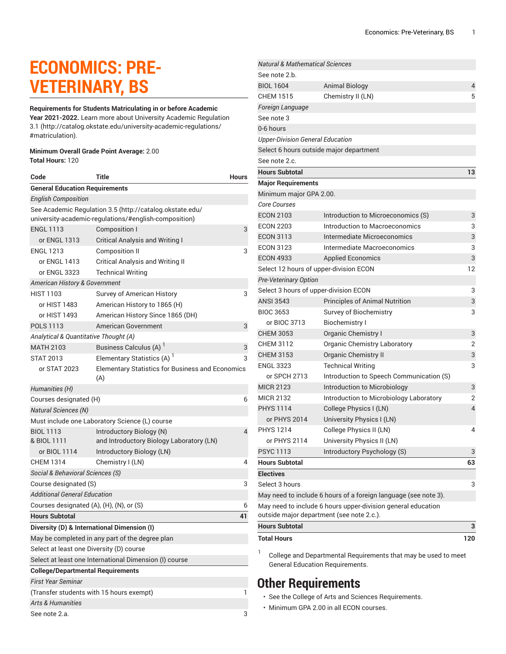# **ECONOMICS: PRE-VETERINARY, BS**

**Requirements for Students Matriculating in or before Academic Year 2021-2022.** Learn more about University Academic [Regulation](http://catalog.okstate.edu/university-academic-regulations/#matriculation) [3.1](http://catalog.okstate.edu/university-academic-regulations/#matriculation) ([http://catalog.okstate.edu/university-academic-regulations/](http://catalog.okstate.edu/university-academic-regulations/#matriculation) [#matriculation\)](http://catalog.okstate.edu/university-academic-regulations/#matriculation).

#### **Minimum Overall Grade Point Average:** 2.00 **Total Hours:** 120

| Code                                          | <b>Title</b>                                                                                                      | <b>Hours</b> |  |
|-----------------------------------------------|-------------------------------------------------------------------------------------------------------------------|--------------|--|
| <b>General Education Requirements</b>         |                                                                                                                   |              |  |
| <b>English Composition</b>                    |                                                                                                                   |              |  |
|                                               | See Academic Regulation 3.5 (http://catalog.okstate.edu/<br>university-academic-regulations/#english-composition) |              |  |
| <b>ENGL 1113</b>                              | Composition I                                                                                                     | 3            |  |
| or ENGL 1313                                  | <b>Critical Analysis and Writing I</b>                                                                            |              |  |
| <b>ENGL 1213</b>                              | <b>Composition II</b>                                                                                             | 3            |  |
| or ENGL 1413                                  | <b>Critical Analysis and Writing II</b>                                                                           |              |  |
| or ENGL 3323                                  | <b>Technical Writing</b>                                                                                          |              |  |
| American History & Government                 |                                                                                                                   |              |  |
| <b>HIST 1103</b>                              | Survey of American History                                                                                        | 3            |  |
| or HIST 1483                                  | American History to 1865 (H)                                                                                      |              |  |
| or HIST 1493                                  | American History Since 1865 (DH)                                                                                  |              |  |
| <b>POLS 1113</b>                              | American Government                                                                                               | 3            |  |
| Analytical & Quantitative Thought (A)         |                                                                                                                   |              |  |
| <b>MATH 2103</b>                              | Business Calculus (A) <sup>1</sup>                                                                                | 3            |  |
| <b>STAT 2013</b>                              | Elementary Statistics (A) <sup>1</sup>                                                                            | 3            |  |
| or STAT 2023                                  | <b>Elementary Statistics for Business and Economics</b><br>(A)                                                    |              |  |
| Humanities (H)                                |                                                                                                                   |              |  |
| Courses designated (H)                        |                                                                                                                   | 6            |  |
| <b>Natural Sciences (N)</b>                   |                                                                                                                   |              |  |
|                                               | Must include one Laboratory Science (L) course                                                                    |              |  |
| <b>BIOL 1113</b><br>& BIOL 1111               | Introductory Biology (N)<br>and Introductory Biology Laboratory (LN)                                              | 4            |  |
| or BIOL 1114                                  | Introductory Biology (LN)                                                                                         |              |  |
| <b>CHEM 1314</b>                              | Chemistry I (LN)                                                                                                  | 4            |  |
| Social & Behavioral Sciences (S)              |                                                                                                                   |              |  |
| Course designated (S)                         |                                                                                                                   | 3            |  |
| <b>Additional General Education</b>           |                                                                                                                   |              |  |
| Courses designated (A), (H), (N), or (S)      |                                                                                                                   | 6            |  |
| <b>Hours Subtotal</b>                         |                                                                                                                   | 41           |  |
|                                               | Diversity (D) & International Dimension (I)                                                                       |              |  |
|                                               | May be completed in any part of the degree plan                                                                   |              |  |
| Select at least one Diversity (D) course      |                                                                                                                   |              |  |
|                                               | Select at least one International Dimension (I) course                                                            |              |  |
| <b>College/Departmental Requirements</b>      |                                                                                                                   |              |  |
| <b>First Year Seminar</b>                     |                                                                                                                   |              |  |
| (Transfer students with 15 hours exempt)<br>1 |                                                                                                                   |              |  |
| <b>Arts &amp; Humanities</b>                  |                                                                                                                   |              |  |
| See note 2.a.                                 |                                                                                                                   |              |  |

| <b>Natural &amp; Mathematical Sciences</b> |                                                                 |                |
|--------------------------------------------|-----------------------------------------------------------------|----------------|
| See note 2.b.                              |                                                                 |                |
| <b>BIOL 1604</b>                           | <b>Animal Biology</b>                                           | 4              |
| <b>CHEM 1515</b>                           | Chemistry II (LN)                                               | 5              |
| Foreign Language                           |                                                                 |                |
| See note 3                                 |                                                                 |                |
| 0-6 hours                                  |                                                                 |                |
| <b>Upper-Division General Education</b>    |                                                                 |                |
|                                            | Select 6 hours outside major department                         |                |
| See note 2.c.                              |                                                                 |                |
| <b>Hours Subtotal</b>                      |                                                                 | 13             |
| <b>Major Requirements</b>                  |                                                                 |                |
| Minimum major GPA 2.00.                    |                                                                 |                |
| <b>Core Courses</b>                        |                                                                 |                |
| <b>ECON 2103</b>                           | Introduction to Microeconomics (S)                              | 3              |
| <b>ECON 2203</b>                           | Introduction to Macroeconomics                                  | 3              |
| <b>ECON 3113</b>                           | Intermediate Microeconomics                                     | 3              |
| <b>ECON 3123</b>                           | Intermediate Macroeconomics                                     | 3              |
| <b>ECON 4933</b>                           | <b>Applied Economics</b>                                        | 3              |
|                                            | Select 12 hours of upper-division ECON                          | 12             |
| Pre-Veterinary Option                      |                                                                 |                |
| Select 3 hours of upper-division ECON      |                                                                 | 3              |
| <b>ANSI 3543</b>                           | <b>Principles of Animal Nutrition</b>                           | 3              |
| <b>BIOC 3653</b>                           | Survey of Biochemistry                                          | 3              |
| or BIOC 3713                               | <b>Biochemistry I</b>                                           |                |
| <b>CHEM 3053</b>                           | <b>Organic Chemistry I</b>                                      | 3              |
| <b>CHEM 3112</b>                           | <b>Organic Chemistry Laboratory</b>                             | $\overline{c}$ |
| <b>CHEM 3153</b>                           | Organic Chemistry II                                            | 3              |
| <b>ENGL 3323</b>                           | <b>Technical Writing</b>                                        | 3              |
| or SPCH 2713                               | Introduction to Speech Communication (S)                        |                |
| <b>MICR 2123</b>                           | Introduction to Microbiology                                    | 3              |
| <b>MICR 2132</b>                           | Introduction to Microbiology Laboratory                         | 2              |
| <b>PHYS 1114</b>                           | College Physics I (LN)                                          | $\overline{4}$ |
| or PHYS 2014                               | University Physics I (LN)                                       |                |
| PHYS 1214                                  | College Physics II (LN)                                         | 4              |
| or PHYS 2114                               | University Physics II (LN)                                      |                |
| <b>PSYC 1113</b>                           | Introductory Psychology (S)                                     | 3              |
| <b>Hours Subtotal</b>                      |                                                                 | 63             |
| <b>Electives</b>                           |                                                                 |                |
| Select 3 hours                             |                                                                 | 3              |
|                                            | May need to include 6 hours of a foreign language (see note 3). |                |
|                                            | May need to include 6 hours upper-division general education    |                |
|                                            | outside major department (see note 2.c.).                       |                |
| <b>Hours Subtotal</b>                      |                                                                 | з              |
| <b>Total Hours</b>                         |                                                                 | 120            |
|                                            |                                                                 |                |

1 College and Departmental Requirements that may be used to meet General Education Requirements.

## **Other Requirements**

- See the College of Arts and Sciences Requirements.
- Minimum GPA 2.00 in all ECON courses.